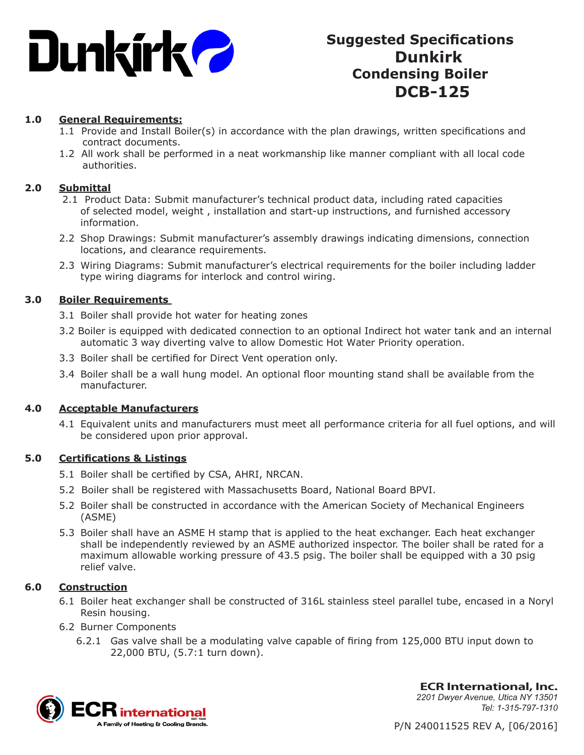

# **Suggested Specifications Dunkirk Condensing Boiler DCB-125**

# **1.0 General Requirements:**

- 1.1 Provide and Install Boiler(s) in accordance with the plan drawings, written specifications and contract documents.
- 1.2 All work shall be performed in a neat workmanship like manner compliant with all local code authorities.

#### **2.0 Submittal**

- 2.1 Product Data: Submit manufacturer's technical product data, including rated capacities of selected model, weight , installation and start-up instructions, and furnished accessory information.
- 2.2 Shop Drawings: Submit manufacturer's assembly drawings indicating dimensions, connection locations, and clearance requirements.
- 2.3 Wiring Diagrams: Submit manufacturer's electrical requirements for the boiler including ladder type wiring diagrams for interlock and control wiring.

### **3.0 Boiler Requirements**

- 3.1 Boiler shall provide hot water for heating zones
- 3.2 Boiler is equipped with dedicated connection to an optional Indirect hot water tank and an internal automatic 3 way diverting valve to allow Domestic Hot Water Priority operation.
- 3.3 Boiler shall be certified for Direct Vent operation only.
- 3.4 Boiler shall be a wall hung model. An optional floor mounting stand shall be available from the manufacturer.

#### **4.0 Acceptable Manufacturers**

4.1 Equivalent units and manufacturers must meet all performance criteria for all fuel options, and will be considered upon prior approval.

#### **5.0 Certifications & Listings**

- 5.1 Boiler shall be certified by CSA, AHRI, NRCAN.
- 5.2 Boiler shall be registered with Massachusetts Board, National Board BPVI.
- 5.2 Boiler shall be constructed in accordance with the American Society of Mechanical Engineers (ASME)
- 5.3 Boiler shall have an ASME H stamp that is applied to the heat exchanger. Each heat exchanger shall be independently reviewed by an ASME authorized inspector. The boiler shall be rated for a maximum allowable working pressure of 43.5 psig. The boiler shall be equipped with a 30 psig relief valve.

# **6.0 Construction**

- 6.1 Boiler heat exchanger shall be constructed of 316L stainless steel parallel tube, encased in a Noryl Resin housing.
- 6.2 Burner Components
	- 6.2.1 Gas valve shall be a modulating valve capable of firing from 125,000 BTU input down to 22,000 BTU, (5.7:1 turn down).



**ECR International, Inc.** *2201 Dwyer Avenue, Utica NY 13501 Tel: 1-315-797-1310*

P/N 240011525 REV A, [06/2016]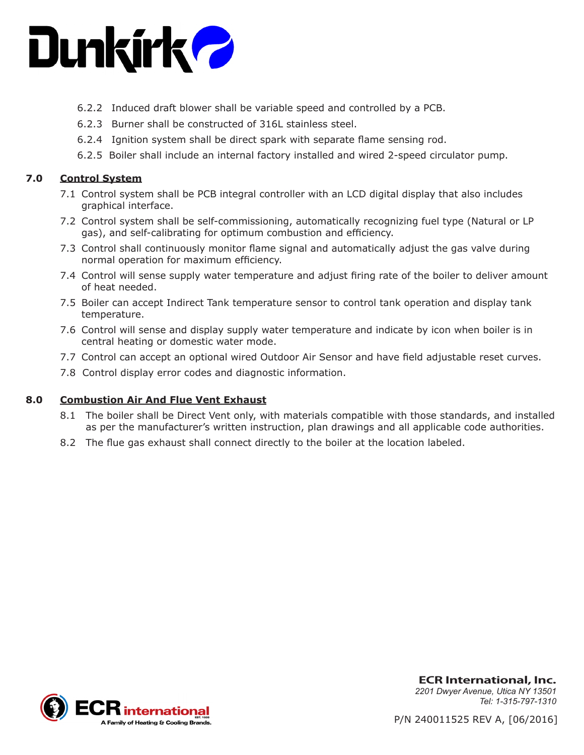

- 6.2.2 Induced draft blower shall be variable speed and controlled by a PCB.
- 6.2.3 Burner shall be constructed of 316L stainless steel.
- 6.2.4 Ignition system shall be direct spark with separate flame sensing rod.
- 6.2.5 Boiler shall include an internal factory installed and wired 2-speed circulator pump.

# **7.0 Control System**

- 7.1 Control system shall be PCB integral controller with an LCD digital display that also includes graphical interface.
- 7.2 Control system shall be self-commissioning, automatically recognizing fuel type (Natural or LP gas), and self-calibrating for optimum combustion and efficiency.
- 7.3 Control shall continuously monitor flame signal and automatically adjust the gas valve during normal operation for maximum efficiency.
- 7.4 Control will sense supply water temperature and adjust firing rate of the boiler to deliver amount of heat needed.
- 7.5 Boiler can accept Indirect Tank temperature sensor to control tank operation and display tank temperature.
- 7.6 Control will sense and display supply water temperature and indicate by icon when boiler is in central heating or domestic water mode.
- 7.7 Control can accept an optional wired Outdoor Air Sensor and have field adjustable reset curves.
- 7.8 Control display error codes and diagnostic information.

# **8.0 Combustion Air And Flue Vent Exhaust**

- 8.1 The boiler shall be Direct Vent only, with materials compatible with those standards, and installed as per the manufacturer's written instruction, plan drawings and all applicable code authorities.
- 8.2 The flue gas exhaust shall connect directly to the boiler at the location labeled.



**ECR International, Inc.** *2201 Dwyer Avenue, Utica NY 13501 Tel: 1-315-797-1310*